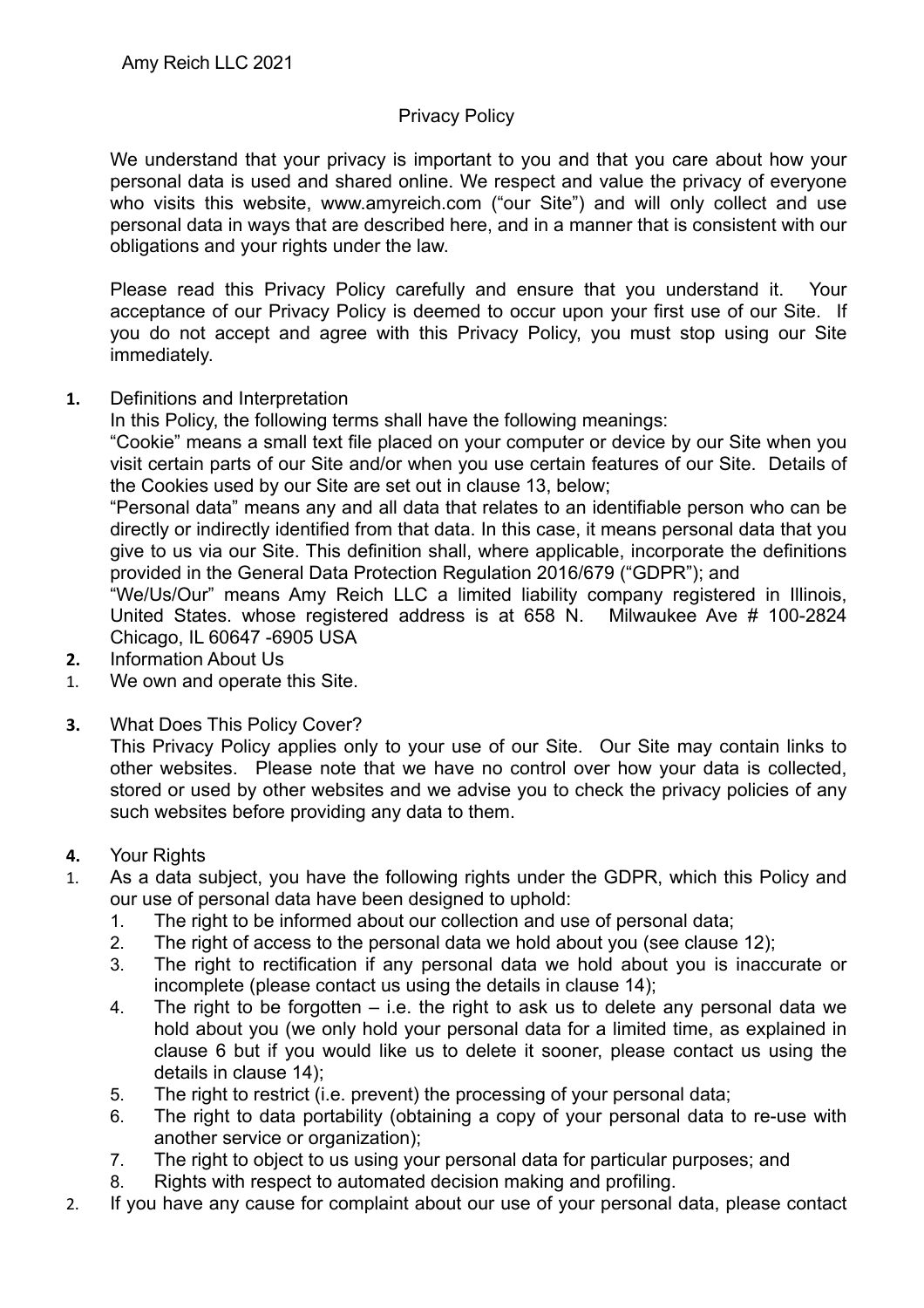## Privacy Policy

We understand that your privacy is important to you and that you care about how your personal data is used and shared online. We respect and value the privacy of everyone who visits this website, www.amyreich.com ("our Site") and will only collect and use personal data in ways that are described here, and in a manner that is consistent with our obligations and your rights under the law.

Please read this Privacy Policy carefully and ensure that you understand it. Your acceptance of our Privacy Policy is deemed to occur upon your first use of our Site. If you do not accept and agree with this Privacy Policy, you must stop using our Site immediately.

**1.** Definitions and Interpretation

In this Policy, the following terms shall have the following meanings:

"Cookie" means a small text file placed on your computer or device by our Site when you visit certain parts of our Site and/or when you use certain features of our Site. Details of the Cookies used by our Site are set out in clause 13, below;

"Personal data" means any and all data that relates to an identifiable person who can be directly or indirectly identified from that data. In this case, it means personal data that you give to us via our Site. This definition shall, where applicable, incorporate the definitions provided in the General Data Protection Regulation 2016/679 ("GDPR"); and

"We/Us/Our" means Amy Reich LLC a limited liability company registered in Illinois, United States. whose registered address is at 658 N. Milwaukee Ave # 100-2824 Chicago, IL 60647 -6905 USA

- **2.** Information About Us
- 1. We own and operate this Site.
- **3.** What Does This Policy Cover?

This Privacy Policy applies only to your use of our Site. Our Site may contain links to other websites. Please note that we have no control over how your data is collected, stored or used by other websites and we advise you to check the privacy policies of any such websites before providing any data to them.

- **4.** Your Rights
- 1. As a data subject, you have the following rights under the GDPR, which this Policy and our use of personal data have been designed to uphold:
	- 1. The right to be informed about our collection and use of personal data;
	- 2. The right of access to the personal data we hold about you (see clause 12);
	- 3. The right to rectification if any personal data we hold about you is inaccurate or incomplete (please contact us using the details in clause 14);
	- 4. The right to be forgotten i.e. the right to ask us to delete any personal data we hold about you (we only hold your personal data for a limited time, as explained in clause 6 but if you would like us to delete it sooner, please contact us using the details in clause 14);
	- 5. The right to restrict (i.e. prevent) the processing of your personal data;
	- 6. The right to data portability (obtaining a copy of your personal data to re-use with another service or organization);
	- 7. The right to object to us using your personal data for particular purposes; and
	- 8. Rights with respect to automated decision making and profiling.
- 2. If you have any cause for complaint about our use of your personal data, please contact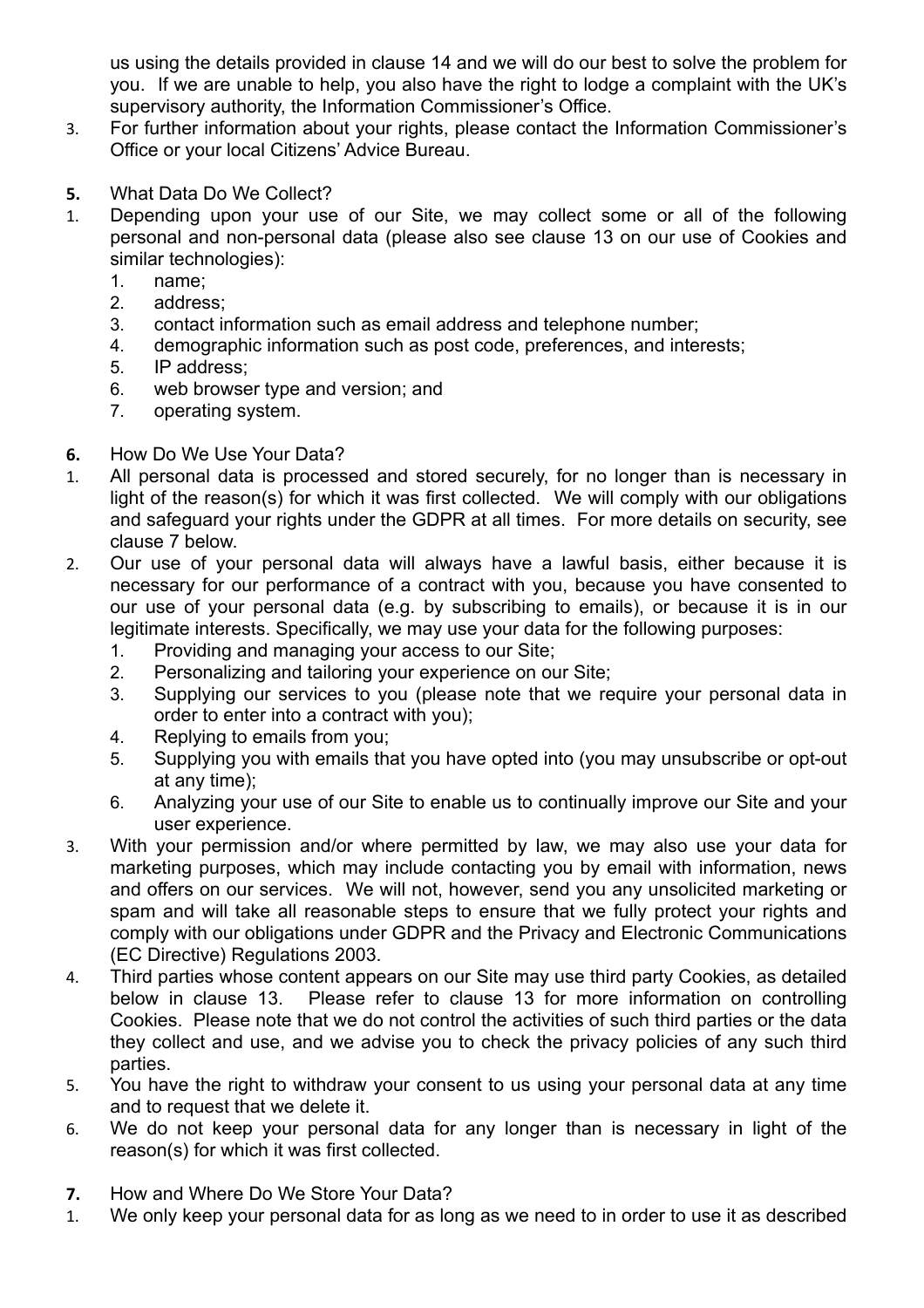us using the details provided in clause 14 and we will do our best to solve the problem for you. If we are unable to help, you also have the right to lodge a complaint with the UK's supervisory authority, the Information Commissioner's Office.

- 3. For further information about your rights, please contact the Information Commissioner's Office or your local Citizens' Advice Bureau.
- **5.** What Data Do We Collect?
- 1. Depending upon your use of our Site, we may collect some or all of the following personal and non-personal data (please also see clause 13 on our use of Cookies and similar technologies):
	- 1. name;
	- 2. address;
	- 3. contact information such as email address and telephone number;
	- 4. demographic information such as post code, preferences, and interests;
	- 5. IP address;
	- 6. web browser type and version; and
	- 7. operating system.
- **6.** How Do We Use Your Data?
- 1. All personal data is processed and stored securely, for no longer than is necessary in light of the reason(s) for which it was first collected. We will comply with our obligations and safeguard your rights under the GDPR at all times. For more details on security, see clause 7 below.
- 2. Our use of your personal data will always have a lawful basis, either because it is necessary for our performance of a contract with you, because you have consented to our use of your personal data (e.g. by subscribing to emails), or because it is in our legitimate interests. Specifically, we may use your data for the following purposes:
	- 1. Providing and managing your access to our Site;
	- 2. Personalizing and tailoring your experience on our Site;
	- 3. Supplying our services to you (please note that we require your personal data in order to enter into a contract with you);
	- 4. Replying to emails from you;
	- 5. Supplying you with emails that you have opted into (you may unsubscribe or opt-out at any time);
	- 6. Analyzing your use of our Site to enable us to continually improve our Site and your user experience.
- 3. With your permission and/or where permitted by law, we may also use your data for marketing purposes, which may include contacting you by email with information, news and offers on our services. We will not, however, send you any unsolicited marketing or spam and will take all reasonable steps to ensure that we fully protect your rights and comply with our obligations under GDPR and the Privacy and Electronic Communications (EC Directive) Regulations 2003.
- 4. Third parties whose content appears on our Site may use third party Cookies, as detailed below in clause 13. Please refer to clause 13 for more information on controlling Cookies. Please note that we do not control the activities of such third parties or the data they collect and use, and we advise you to check the privacy policies of any such third parties.
- 5. You have the right to withdraw your consent to us using your personal data at any time and to request that we delete it.
- 6. We do not keep your personal data for any longer than is necessary in light of the reason(s) for which it was first collected.
- **7.** How and Where Do We Store Your Data?
- 1. We only keep your personal data for as long as we need to in order to use it as described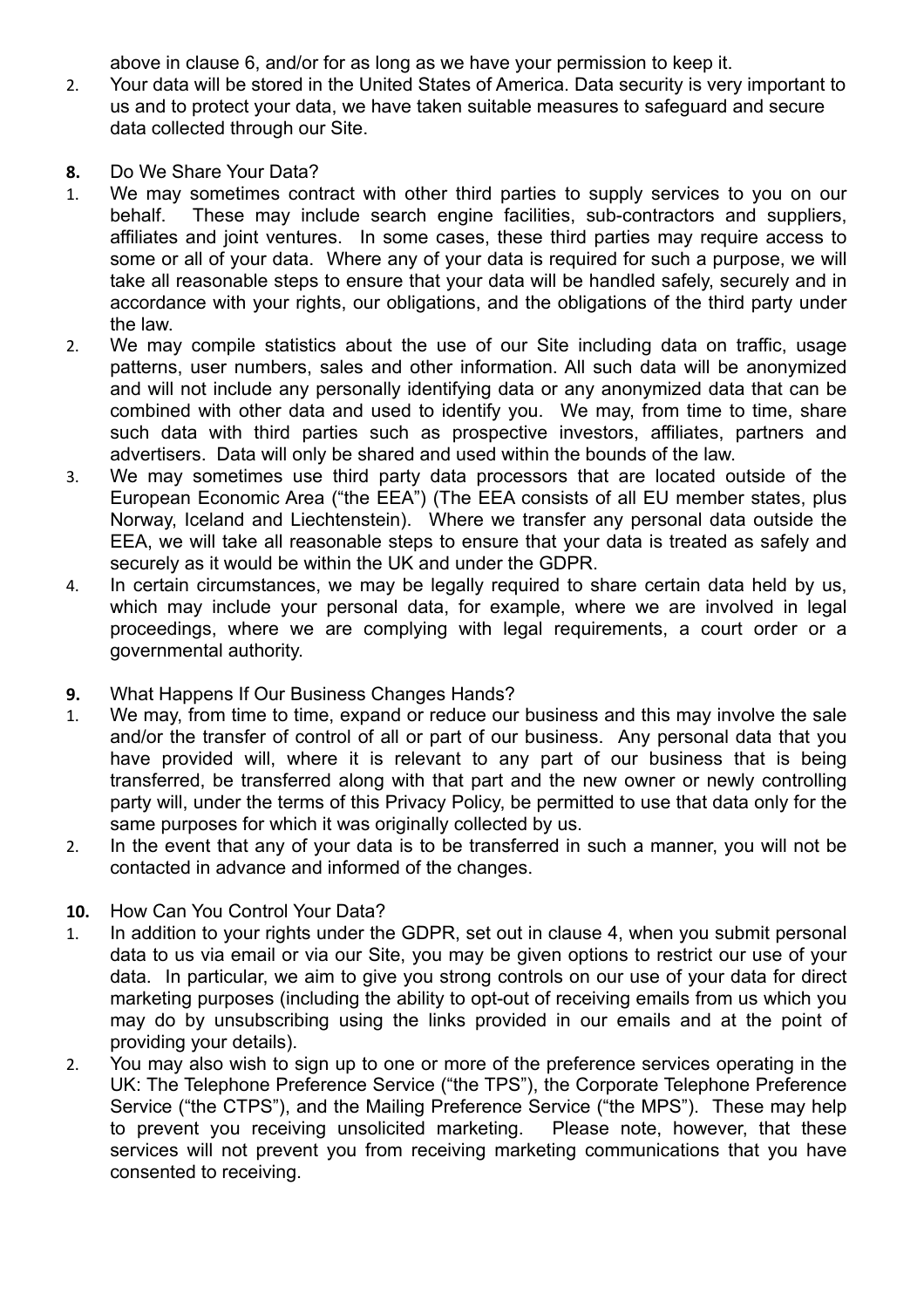above in clause 6, and/or for as long as we have your permission to keep it.

- 2. Your data will be stored in the United States of America. Data security is very important to us and to protect your data, we have taken suitable measures to safeguard and secure data collected through our Site.
- **8.** Do We Share Your Data?
- 1. We may sometimes contract with other third parties to supply services to you on our behalf. These may include search engine facilities, sub-contractors and suppliers, affiliates and joint ventures. In some cases, these third parties may require access to some or all of your data. Where any of your data is required for such a purpose, we will take all reasonable steps to ensure that your data will be handled safely, securely and in accordance with your rights, our obligations, and the obligations of the third party under the law.
- 2. We may compile statistics about the use of our Site including data on traffic, usage patterns, user numbers, sales and other information. All such data will be anonymized and will not include any personally identifying data or any anonymized data that can be combined with other data and used to identify you. We may, from time to time, share such data with third parties such as prospective investors, affiliates, partners and advertisers. Data will only be shared and used within the bounds of the law.
- 3. We may sometimes use third party data processors that are located outside of the European Economic Area ("the EEA") (The EEA consists of all EU member states, plus Norway, Iceland and Liechtenstein). Where we transfer any personal data outside the EEA, we will take all reasonable steps to ensure that your data is treated as safely and securely as it would be within the UK and under the GDPR.
- 4. In certain circumstances, we may be legally required to share certain data held by us, which may include your personal data, for example, where we are involved in legal proceedings, where we are complying with legal requirements, a court order or a governmental authority.
- **9.** What Happens If Our Business Changes Hands?
- 1. We may, from time to time, expand or reduce our business and this may involve the sale and/or the transfer of control of all or part of our business. Any personal data that you have provided will, where it is relevant to any part of our business that is being transferred, be transferred along with that part and the new owner or newly controlling party will, under the terms of this Privacy Policy, be permitted to use that data only for the same purposes for which it was originally collected by us.
- 2. In the event that any of your data is to be transferred in such a manner, you will not be contacted in advance and informed of the changes.

## **10.** How Can You Control Your Data?

- 1. In addition to your rights under the GDPR, set out in clause 4, when you submit personal data to us via email or via our Site, you may be given options to restrict our use of your data. In particular, we aim to give you strong controls on our use of your data for direct marketing purposes (including the ability to opt-out of receiving emails from us which you may do by unsubscribing using the links provided in our emails and at the point of providing your details).
- 2. You may also wish to sign up to one or more of the preference services operating in the UK: The Telephone Preference Service ("the TPS"), the Corporate Telephone Preference Service ("the CTPS"), and the Mailing Preference Service ("the MPS"). These may help to prevent you receiving unsolicited marketing. Please note, however, that these services will not prevent you from receiving marketing communications that you have consented to receiving.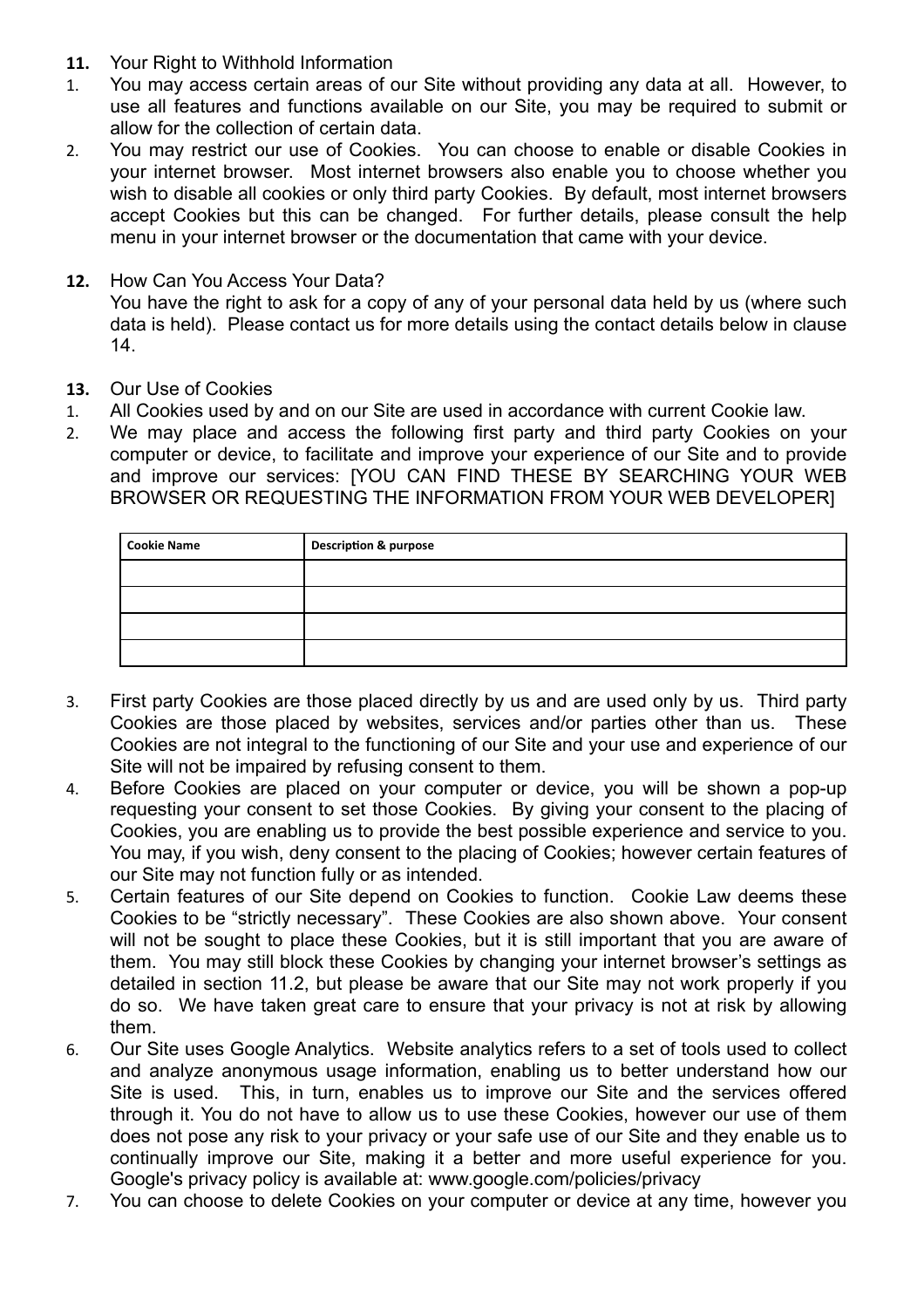- **11.** Your Right to Withhold Information
- 1. You may access certain areas of our Site without providing any data at all. However, to use all features and functions available on our Site, you may be required to submit or allow for the collection of certain data.
- 2. You may restrict our use of Cookies. You can choose to enable or disable Cookies in your internet browser. Most internet browsers also enable you to choose whether you wish to disable all cookies or only third party Cookies. By default, most internet browsers accept Cookies but this can be changed. For further details, please consult the help menu in your internet browser or the documentation that came with your device.
- **12.** How Can You Access Your Data? You have the right to ask for a copy of any of your personal data held by us (where such data is held). Please contact us for more details using the contact details below in clause 14.
- **13.** Our Use of Cookies
- 1. All Cookies used by and on our Site are used in accordance with current Cookie law.
- 2. We may place and access the following first party and third party Cookies on your computer or device, to facilitate and improve your experience of our Site and to provide and improve our services: [YOU CAN FIND THESE BY SEARCHING YOUR WEB BROWSER OR REQUESTING THE INFORMATION FROM YOUR WEB DEVELOPER]

| <b>Cookie Name</b> | <b>Description &amp; purpose</b> |
|--------------------|----------------------------------|
|                    |                                  |
|                    |                                  |
|                    |                                  |
|                    |                                  |

- 3. First party Cookies are those placed directly by us and are used only by us. Third party Cookies are those placed by websites, services and/or parties other than us. These Cookies are not integral to the functioning of our Site and your use and experience of our Site will not be impaired by refusing consent to them.
- 4. Before Cookies are placed on your computer or device, you will be shown a pop-up requesting your consent to set those Cookies. By giving your consent to the placing of Cookies, you are enabling us to provide the best possible experience and service to you. You may, if you wish, deny consent to the placing of Cookies; however certain features of our Site may not function fully or as intended.
- 5. Certain features of our Site depend on Cookies to function. Cookie Law deems these Cookies to be "strictly necessary". These Cookies are also shown above. Your consent will not be sought to place these Cookies, but it is still important that you are aware of them. You may still block these Cookies by changing your internet browser's settings as detailed in section 11.2, but please be aware that our Site may not work properly if you do so. We have taken great care to ensure that your privacy is not at risk by allowing them.
- 6. Our Site uses Google Analytics. Website analytics refers to a set of tools used to collect and analyze anonymous usage information, enabling us to better understand how our Site is used. This, in turn, enables us to improve our Site and the services offered through it. You do not have to allow us to use these Cookies, however our use of them does not pose any risk to your privacy or your safe use of our Site and they enable us to continually improve our Site, making it a better and more useful experience for you. Google's privacy policy is available at: [www.google.com/policies/privacy](http://www.google.com/policies/privacy)
- 7. You can choose to delete Cookies on your computer or device at any time, however you